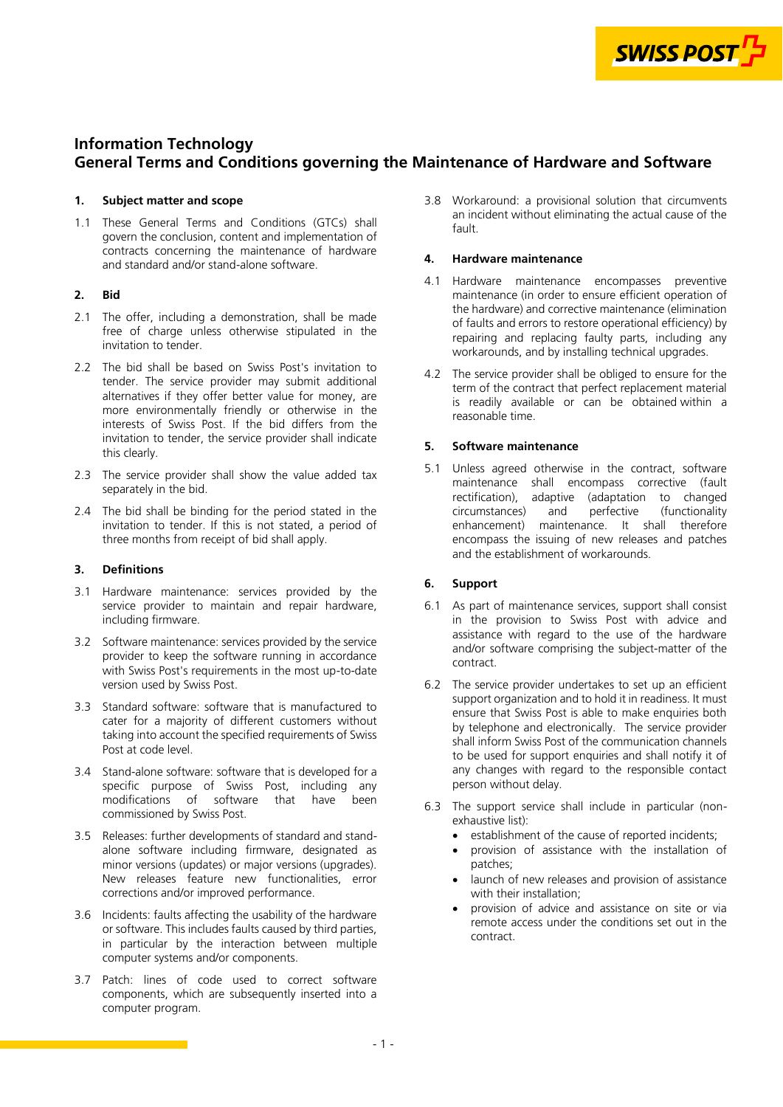

# <span id="page-0-0"></span>**Information Technology General Terms and Conditions governing the Maintenance of Hardware and Software**

# **1. Subject matter and scope**

1.1 These General Terms and Conditions (GTCs) shall govern the conclusion, content and implementation of contracts concerning the maintenance of hardware and standard and/or stand-alone software.

# **2. Bid**

- 2.1 The offer, including a demonstration, shall be made free of charge unless otherwise stipulated in the invitation to tender.
- 2.2 The bid shall be based on Swiss Post's invitation to tender. The service provider may submit additional alternatives if they offer better value for money, are more environmentally friendly or otherwise in the interests of Swiss Post. If the bid differs from the invitation to tender, the service provider shall indicate this clearly.
- 2.3 The service provider shall show the value added tax separately in the bid.
- 2.4 The bid shall be binding for the period stated in the invitation to tender. If this is not stated, a period of three months from receipt of bid shall apply.

# **3. Definitions**

- 3.1 Hardware maintenance: services provided by the service provider to maintain and repair hardware, including firmware.
- 3.2 Software maintenance: services provided by the service provider to keep the software running in accordance with Swiss Post's requirements in the most up-to-date version used by Swiss Post.
- 3.3 Standard software: software that is manufactured to cater for a majority of different customers without taking into account the specified requirements of Swiss Post at code level.
- 3.4 Stand-alone software: software that is developed for a specific purpose of Swiss Post, including any modifications of software that have been commissioned by Swiss Post.
- 3.5 Releases: further developments of standard and standalone software including firmware, designated as minor versions (updates) or major versions (upgrades). New releases feature new functionalities, error corrections and/or improved performance.
- 3.6 Incidents: faults affecting the usability of the hardware or software. This includes faults caused by third parties, in particular by the interaction between multiple computer systems and/or components.
- 3.7 Patch: lines of code used to correct software components, which are subsequently inserted into a computer program.

3.8 Workaround: a provisional solution that circumvents an incident without eliminating the actual cause of the fault.

# **4. Hardware maintenance**

- 4.1 Hardware maintenance encompasses preventive maintenance (in order to ensure efficient operation of the hardware) and corrective maintenance (elimination of faults and errors to restore operational efficiency) by repairing and replacing faulty parts, including any workarounds, and by installing technical upgrades.
- 4.2 The service provider shall be obliged to ensure for the term of the contract that perfect replacement material is readily available or can be obtained within a reasonable time.

# **5. Software maintenance**

5.1 Unless agreed otherwise in the contract, software maintenance shall encompass corrective (fault rectification), adaptive (adaptation to changed<br>circumstances) and perfective (functionality circumstances) enhancement) maintenance. It shall therefore encompass the issuing of new releases and patches and the establishment of workarounds.

# **6. Support**

- 6.1 As part of maintenance services, support shall consist in the provision to Swiss Post with advice and assistance with regard to the use of the hardware and/or software comprising the subject-matter of the contract.
- 6.2 The service provider undertakes to set up an efficient support organization and to hold it in readiness. It must ensure that Swiss Post is able to make enquiries both by telephone and electronically. The service provider shall inform Swiss Post of the communication channels to be used for support enquiries and shall notify it of any changes with regard to the responsible contact person without delay.
- 6.3 The support service shall include in particular (nonexhaustive list):
	- establishment of the cause of reported incidents;
	- provision of assistance with the installation of patches;
	- launch of new releases and provision of assistance with their installation;
	- provision of advice and assistance on site or via remote access under the conditions set out in the contract.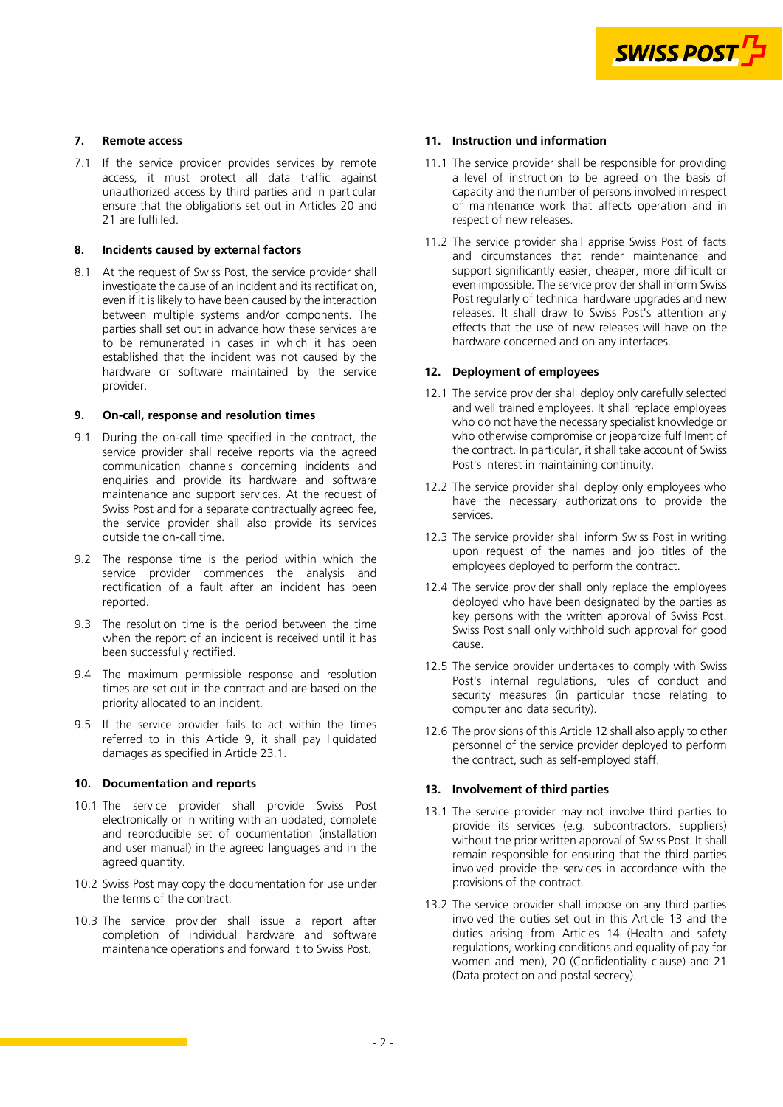

# <span id="page-1-0"></span>**7. Remote access**

7.1 If the service provider provides services by remote access, it must protect all data traffic against unauthorized access by third parties and in particular ensure that the obligations set out in Articles [20](#page-3-0) and [21](#page-3-0) are fulfilled.

# **8. Incidents caused by external factors**

8.1 At the request of Swiss Post, the service provider shall investigate the cause of an incident and its rectification, even if it is likely to have been caused by the interaction between multiple systems and/or components. The parties shall set out in advance how these services are to be remunerated in cases in which it has been established that the incident was not caused by the hardware or software maintained by the service provider.

#### **9. On-call, response and resolution times**

- 9.1 During the on-call time specified in the contract, the service provider shall receive reports via the agreed communication channels concerning incidents and enquiries and provide its hardware and software maintenance and support services. At the request of Swiss Post and for a separate contractually agreed fee, the service provider shall also provide its services outside the on-call time.
- 9.2 The response time is the period within which the service provider commences the analysis and rectification of a fault after an incident has been reported.
- 9.3 The resolution time is the period between the time when the report of an incident is received until it has been successfully rectified.
- 9.4 The maximum permissible response and resolution times are set out in the contract and are based on the priority allocated to an incident.
- 9.5 If the service provider fails to act within the times referred to in this Article 9, it shall pay liquidated damages as specified in Article [23.1.](#page-3-0)

# **10. Documentation and reports**

- 10.1 The service provider shall provide Swiss Post electronically or in writing with an updated, complete and reproducible set of documentation (installation and user manual) in the agreed languages and in the agreed quantity.
- 10.2 Swiss Post may copy the documentation for use under the terms of the contract.
- 10.3 The service provider shall issue a report after completion of individual hardware and software maintenance operations and forward it to Swiss Post.

# **11. Instruction und information**

- 11.1 The service provider shall be responsible for providing a level of instruction to be agreed on the basis of capacity and the number of persons involved in respect of maintenance work that affects operation and in respect of new releases.
- 11.2 The service provider shall apprise Swiss Post of facts and circumstances that render maintenance and support significantly easier, cheaper, more difficult or even impossible. The service provider shall inform Swiss Post regularly of technical hardware upgrades and new releases. It shall draw to Swiss Post's attention any effects that the use of new releases will have on the hardware concerned and on any interfaces.

#### **12. Deployment of employees**

- 12.1 The service provider shall deploy only carefully selected and well trained employees. It shall replace employees who do not have the necessary specialist knowledge or who otherwise compromise or jeopardize fulfilment of the contract. In particular, it shall take account of Swiss Post's interest in maintaining continuity.
- 12.2 The service provider shall deploy only employees who have the necessary authorizations to provide the services.
- 12.3 The service provider shall inform Swiss Post in writing upon request of the names and job titles of the employees deployed to perform the contract.
- 12.4 The service provider shall only replace the employees deployed who have been designated by the parties as key persons with the written approval of Swiss Post. Swiss Post shall only withhold such approval for good cause.
- 12.5 The service provider undertakes to comply with Swiss Post's internal regulations, rules of conduct and security measures (in particular those relating to computer and data security).
- 12.6 The provisions of this Article 12 shall also apply to other personnel of the service provider deployed to perform the contract, such as self-employed staff.

#### **13. Involvement of third parties**

- 13.1 The service provider may not involve third parties to provide its services (e.g. subcontractors, suppliers) without the prior written approval of Swiss Post. It shall remain responsible for ensuring that the third parties involved provide the services in accordance with the provisions of the contract.
- 13.2 The service provider shall impose on any third parties involved the duties set out in this Article 13 and the duties arising from Articles [14 \(Health and safety](#page-2-0)  [regulations, working conditions and equality of pay for](#page-2-0)  [women and men\)](#page-2-0)[, 20 \(Confidentiality clause\) and 21](#page-3-0) (Data protection and postal secrecy).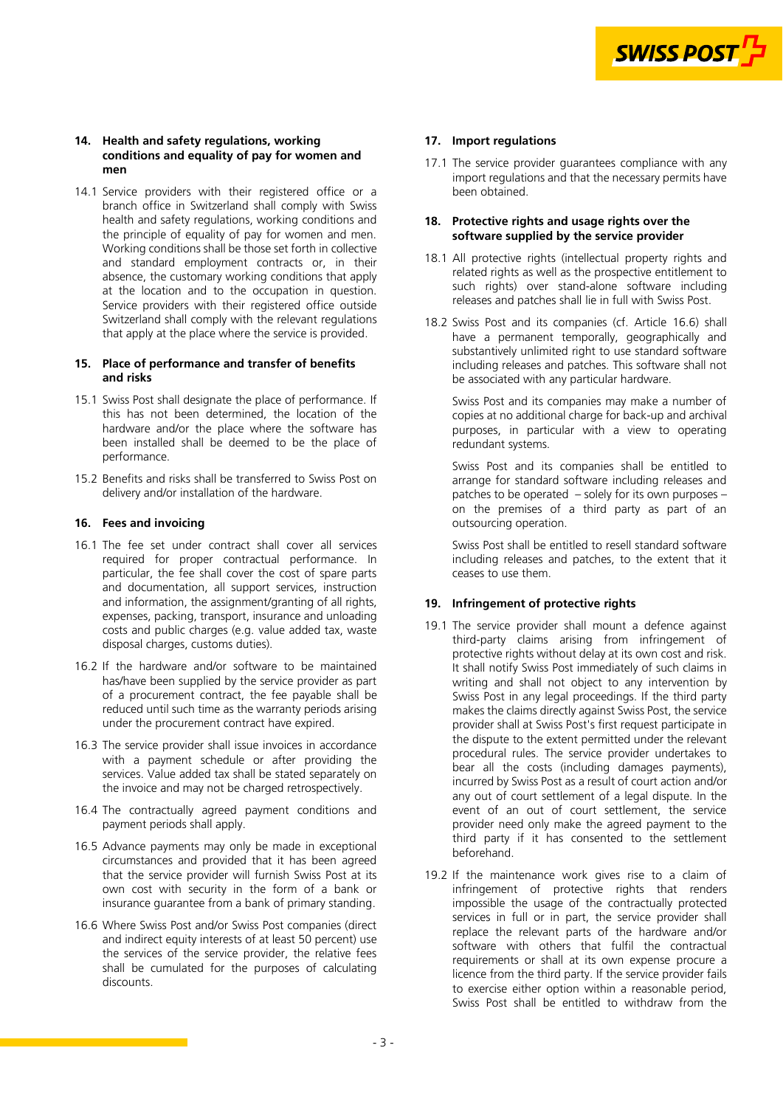

#### <span id="page-2-0"></span>**14. Health and safety regulations, working conditions and equality of pay for women and men**

14.1 Service providers with their registered office or a branch office in Switzerland shall comply with Swiss health and safety regulations, working conditions and the principle of equality of pay for women and men. Working conditions shall be those set forth in collective and standard employment contracts or, in their absence, the customary working conditions that apply at the location and to the occupation in question. Service providers with their registered office outside Switzerland shall comply with the relevant regulations that apply at the place where the service is provided.

# **15. Place of performance and transfer of benefits and risks**

- 15.1 Swiss Post shall designate the place of performance. If this has not been determined, the location of the hardware and/or the place where the software has been installed shall be deemed to be the place of performance.
- 15.2 Benefits and risks shall be transferred to Swiss Post on delivery and/or installation of the hardware.

# **16. Fees and invoicing**

- 16.1 The fee set under contract shall cover all services required for proper contractual performance. In particular, the fee shall cover the cost of spare parts and documentation, all support services, instruction and information, the assignment/granting of all rights. expenses, packing, transport, insurance and unloading costs and public charges (e.g. value added tax, waste disposal charges, customs duties).
- 16.2 If the hardware and/or software to be maintained has/have been supplied by the service provider as part of a procurement contract, the fee payable shall be reduced until such time as the warranty periods arising under the procurement contract have expired.
- 16.3 The service provider shall issue invoices in accordance with a payment schedule or after providing the services. Value added tax shall be stated separately on the invoice and may not be charged retrospectively.
- 16.4 The contractually agreed payment conditions and payment periods shall apply.
- 16.5 Advance payments may only be made in exceptional circumstances and provided that it has been agreed that the service provider will furnish Swiss Post at its own cost with security in the form of a bank or insurance guarantee from a bank of primary standing.
- 16.6 Where Swiss Post and/or Swiss Post companies (direct and indirect equity interests of at least 50 percent) use the services of the service provider, the relative fees shall be cumulated for the purposes of calculating discounts.

# **17. Import regulations**

17.1 The service provider guarantees compliance with any import regulations and that the necessary permits have been obtained.

# **18. Protective rights and usage rights over the software supplied by the service provider**

- 18.1 All protective rights (intellectual property rights and related rights as well as the prospective entitlement to such rights) over stand-alone software including releases and patches shall lie in full with Swiss Post.
- 18.2 Swiss Post and its companies (cf. Article 16.6) shall have a permanent temporally, geographically and substantively unlimited right to use standard software including releases and patches. This software shall not be associated with any particular hardware.

Swiss Post and its companies may make a number of copies at no additional charge for back-up and archival purposes, in particular with a view to operating redundant systems.

Swiss Post and its companies shall be entitled to arrange for standard software including releases and patches to be operated – solely for its own purposes – on the premises of a third party as part of an outsourcing operation.

Swiss Post shall be entitled to resell standard software including releases and patches, to the extent that it ceases to use them.

# **19. Infringement of protective rights**

- 19.1 The service provider shall mount a defence against third-party claims arising from infringement of protective rights without delay at its own cost and risk. It shall notify Swiss Post immediately of such claims in writing and shall not object to any intervention by Swiss Post in any legal proceedings. If the third party makes the claims directly against Swiss Post, the service provider shall at Swiss Post's first request participate in the dispute to the extent permitted under the relevant procedural rules. The service provider undertakes to bear all the costs (including damages payments), incurred by Swiss Post as a result of court action and/or any out of court settlement of a legal dispute. In the event of an out of court settlement, the service provider need only make the agreed payment to the third party if it has consented to the settlement beforehand.
- 19.2 If the maintenance work gives rise to a claim of infringement of protective rights that renders impossible the usage of the contractually protected services in full or in part, the service provider shall replace the relevant parts of the hardware and/or software with others that fulfil the contractual requirements or shall at its own expense procure a licence from the third party. If the service provider fails to exercise either option within a reasonable period, Swiss Post shall be entitled to withdraw from the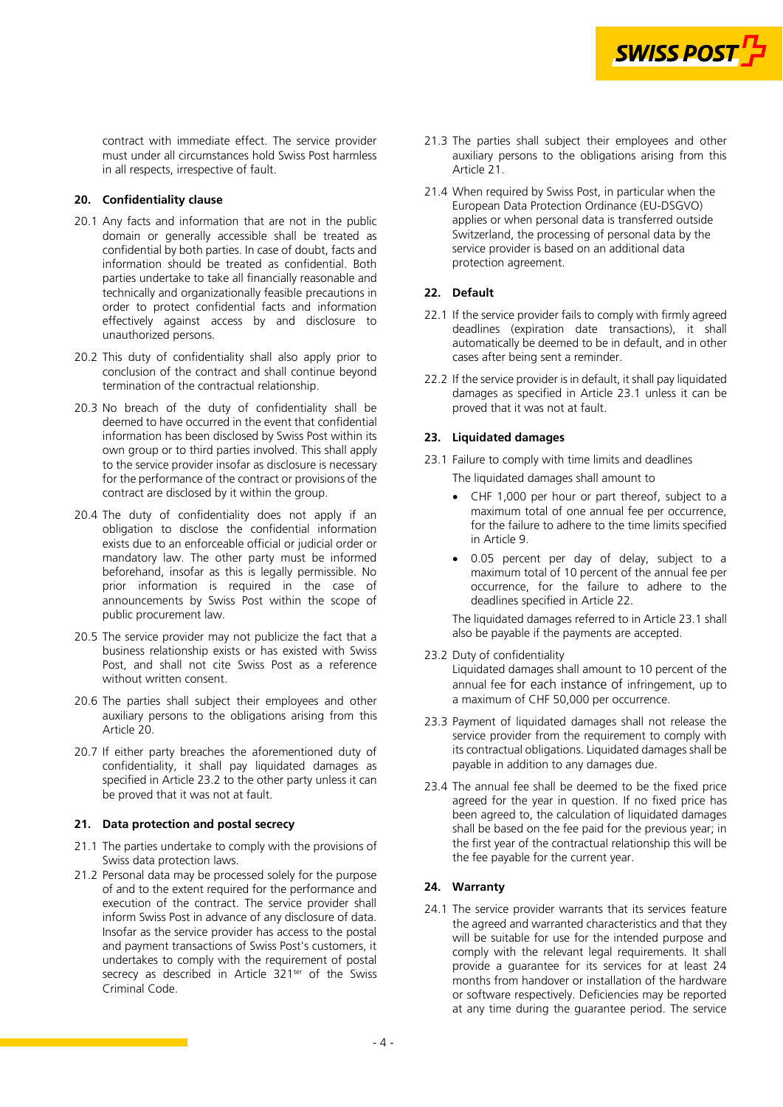

<span id="page-3-0"></span>contract with immediate effect. The service provider must under all circumstances hold Swiss Post harmless in all respects, irrespective of fault.

# **20. Confidentiality clause**

- 20.1 Any facts and information that are not in the public domain or generally accessible shall be treated as confidential by both parties. In case of doubt, facts and information should be treated as confidential. Both parties undertake to take all financially reasonable and technically and organizationally feasible precautions in order to protect confidential facts and information effectively against access by and disclosure to unauthorized persons.
- 20.2 This duty of confidentiality shall also apply prior to conclusion of the contract and shall continue beyond termination of the contractual relationship.
- 20.3 No breach of the duty of confidentiality shall be deemed to have occurred in the event that confidential information has been disclosed by Swiss Post within its own group or to third parties involved. This shall apply to the service provider insofar as disclosure is necessary for the performance of the contract or provisions of the contract are disclosed by it within the group.
- 20.4 The duty of confidentiality does not apply if an obligation to disclose the confidential information exists due to an enforceable official or judicial order or mandatory law. The other party must be informed beforehand, insofar as this is legally permissible. No prior information is required in the case of announcements by Swiss Post within the scope of public procurement law.
- 20.5 The service provider may not publicize the fact that a business relationship exists or has existed with Swiss Post, and shall not cite Swiss Post as a reference without written consent.
- 20.6 The parties shall subject their employees and other auxiliary persons to the obligations arising from this Article 20.
- 20.7 If either party breaches the aforementioned duty of confidentiality, it shall pay liquidated damages as specified in Article 23.2 to the other party unless it can be proved that it was not at fault.

#### **21. Data protection and postal secrecy**

- 21.1 The parties undertake to comply with the provisions of Swiss data protection laws.
- 21.2 Personal data may be processed solely for the purpose of and to the extent required for the performance and execution of the contract. The service provider shall inform Swiss Post in advance of any disclosure of data. Insofar as the service provider has access to the postal and payment transactions of Swiss Post's customers, it undertakes to comply with the requirement of postal secrecy as described in Article 321<sup>ter</sup> of the Swiss Criminal Code.
- 21.3 The parties shall subject their employees and other auxiliary persons to the obligations arising from this Article 21.
- 21.4 When required by Swiss Post, in particular when the European Data Protection Ordinance (EU-DSGVO) applies or when personal data is transferred outside Switzerland, the processing of personal data by the service provider is based on an additional data protection agreement.

# **22. Default**

- 22.1 If the service provider fails to comply with firmly agreed deadlines (expiration date transactions), it shall automatically be deemed to be in default, and in other cases after being sent a reminder.
- 22.2 If the service provider is in default, it shall pay liquidated damages as specified in Article 23.1 unless it can be proved that it was not at fault.

# **23. Liquidated damages**

- 23.1 Failure to comply with time limits and deadlines The liquidated damages shall amount to
	- CHF 1,000 per hour or part thereof, subject to a maximum total of one annual fee per occurrence, for the failure to adhere to the time limits specified in Article [9.](#page-1-0)
	- 0.05 percent per day of delay, subject to a maximum total of 10 percent of the annual fee per occurrence, for the failure to adhere to the deadlines specified in Article 22.

The liquidated damages referred to in Article 23.1 shall also be payable if the payments are accepted.

23.2 Duty of confidentiality

Liquidated damages shall amount to 10 percent of the annual fee for each instance of infringement, up to a maximum of CHF 50,000 per occurrence.

- 23.3 Payment of liquidated damages shall not release the service provider from the requirement to comply with its contractual obligations. Liquidated damages shall be payable in addition to any damages due.
- 23.4 The annual fee shall be deemed to be the fixed price agreed for the year in question. If no fixed price has been agreed to, the calculation of liquidated damages shall be based on the fee paid for the previous year; in the first year of the contractual relationship this will be the fee payable for the current year.

# **24. Warranty**

24.1 The service provider warrants that its services feature the agreed and warranted characteristics and that they will be suitable for use for the intended purpose and comply with the relevant legal requirements. It shall provide a guarantee for its services for at least 24 months from handover or installation of the hardware or software respectively. Deficiencies may be reported at any time during the guarantee period. The service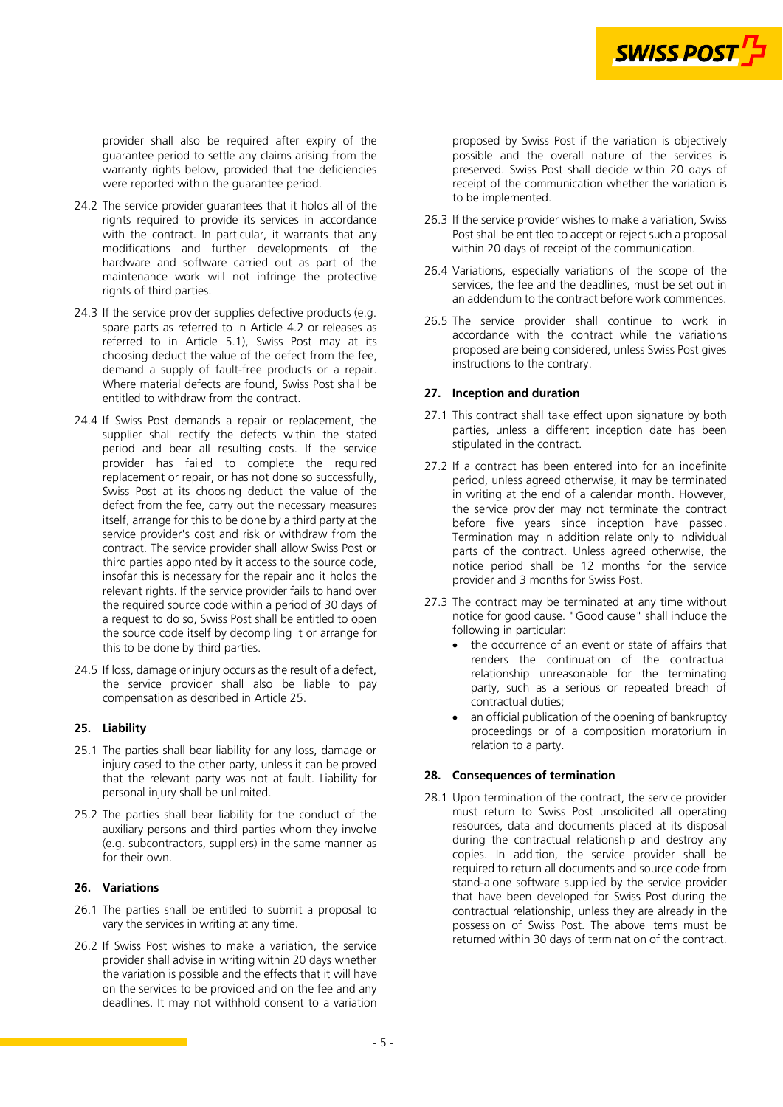

provider shall also be required after expiry of the guarantee period to settle any claims arising from the warranty rights below, provided that the deficiencies were reported within the guarantee period.

- 24.2 The service provider guarantees that it holds all of the rights required to provide its services in accordance with the contract. In particular, it warrants that any modifications and further developments of the hardware and software carried out as part of the maintenance work will not infringe the protective rights of third parties.
- 24.3 If the service provider supplies defective products (e.g. spare parts as referred to in Article [4.2](#page-0-0) or releases as referred to in Article [5.1](#page-0-0)), Swiss Post may at its choosing deduct the value of the defect from the fee, demand a supply of fault-free products or a repair. Where material defects are found, Swiss Post shall be entitled to withdraw from the contract.
- 24.4 If Swiss Post demands a repair or replacement, the supplier shall rectify the defects within the stated period and bear all resulting costs. If the service provider has failed to complete the required replacement or repair, or has not done so successfully, Swiss Post at its choosing deduct the value of the defect from the fee, carry out the necessary measures itself, arrange for this to be done by a third party at the service provider's cost and risk or withdraw from the contract. The service provider shall allow Swiss Post or third parties appointed by it access to the source code, insofar this is necessary for the repair and it holds the relevant rights. If the service provider fails to hand over the required source code within a period of 30 days of a request to do so, Swiss Post shall be entitled to open the source code itself by decompiling it or arrange for this to be done by third parties.
- 24.5 If loss, damage or injury occurs as the result of a defect, the service provider shall also be liable to pay compensation as described in Article 25.

# **25. Liability**

- 25.1 The parties shall bear liability for any loss, damage or injury cased to the other party, unless it can be proved that the relevant party was not at fault. Liability for personal injury shall be unlimited.
- 25.2 The parties shall bear liability for the conduct of the auxiliary persons and third parties whom they involve (e.g. subcontractors, suppliers) in the same manner as for their own.

# **26. Variations**

- 26.1 The parties shall be entitled to submit a proposal to vary the services in writing at any time.
- 26.2 If Swiss Post wishes to make a variation, the service provider shall advise in writing within 20 days whether the variation is possible and the effects that it will have on the services to be provided and on the fee and any deadlines. It may not withhold consent to a variation

proposed by Swiss Post if the variation is objectively possible and the overall nature of the services is preserved. Swiss Post shall decide within 20 days of receipt of the communication whether the variation is to be implemented.

- 26.3 If the service provider wishes to make a variation, Swiss Post shall be entitled to accept or reject such a proposal within 20 days of receipt of the communication.
- 26.4 Variations, especially variations of the scope of the services, the fee and the deadlines, must be set out in an addendum to the contract before work commences.
- 26.5 The service provider shall continue to work in accordance with the contract while the variations proposed are being considered, unless Swiss Post gives instructions to the contrary.

### **27. Inception and duration**

- 27.1 This contract shall take effect upon signature by both parties, unless a different inception date has been stipulated in the contract.
- 27.2 If a contract has been entered into for an indefinite period, unless agreed otherwise, it may be terminated in writing at the end of a calendar month. However, the service provider may not terminate the contract before five years since inception have passed. Termination may in addition relate only to individual parts of the contract. Unless agreed otherwise, the notice period shall be 12 months for the service provider and 3 months for Swiss Post.
- 27.3 The contract may be terminated at any time without notice for good cause. "Good cause" shall include the following in particular:
	- the occurrence of an event or state of affairs that renders the continuation of the contractual relationship unreasonable for the terminating party, such as a serious or repeated breach of contractual duties;
	- an official publication of the opening of bankruptcy proceedings or of a composition moratorium in relation to a party.

### **28. Consequences of termination**

28.1 Upon termination of the contract, the service provider must return to Swiss Post unsolicited all operating resources, data and documents placed at its disposal during the contractual relationship and destroy any copies. In addition, the service provider shall be required to return all documents and source code from stand-alone software supplied by the service provider that have been developed for Swiss Post during the contractual relationship, unless they are already in the possession of Swiss Post. The above items must be returned within 30 days of termination of the contract.